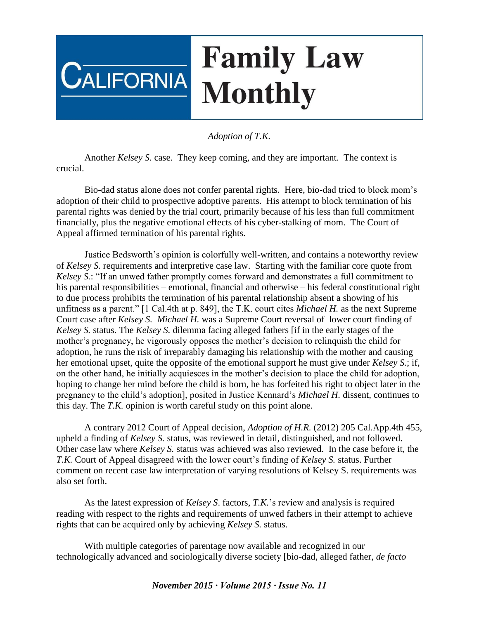## **Family Law**  $\mathsf{C}$ alifornia **Monthly**

## *Adoption of T.K.*

Another *Kelsey S.* case. They keep coming, and they are important. The context is crucial.

Bio-dad status alone does not confer parental rights. Here, bio-dad tried to block mom's adoption of their child to prospective adoptive parents. His attempt to block termination of his parental rights was denied by the trial court, primarily because of his less than full commitment financially, plus the negative emotional effects of his cyber-stalking of mom. The Court of Appeal affirmed termination of his parental rights.

Justice Bedsworth's opinion is colorfully well-written, and contains a noteworthy review of *Kelsey S.* requirements and interpretive case law. Starting with the familiar core quote from *Kelsey S.*: "If an unwed father promptly comes forward and demonstrates a full commitment to his parental responsibilities – emotional, financial and otherwise – his federal constitutional right to due process prohibits the termination of his parental relationship absent a showing of his unfitness as a parent." [1 Cal.4th at p. 849], the T.K. court cites *Michael H.* as the next Supreme Court case after *Kelsey S. Michael H.* was a Supreme Court reversal of lower court finding of *Kelsey S.* status. The *Kelsey S.* dilemma facing alleged fathers [if in the early stages of the mother's pregnancy, he vigorously opposes the mother's decision to relinquish the child for adoption, he runs the risk of irreparably damaging his relationship with the mother and causing her emotional upset, quite the opposite of the emotional support he must give under *Kelsey S.*; if, on the other hand, he initially acquiesces in the mother's decision to place the child for adoption, hoping to change her mind before the child is born, he has forfeited his right to object later in the pregnancy to the child's adoption], posited in Justice Kennard's *Michael H.* dissent, continues to this day. The *T.K.* opinion is worth careful study on this point alone.

A contrary 2012 Court of Appeal decision, *Adoption of H.R.* (2012) 205 Cal.App.4th 455, upheld a finding of *Kelsey S.* status, was reviewed in detail, distinguished, and not followed. Other case law where *Kelsey S.* status was achieved was also reviewed. In the case before it, the *T.K.* Court of Appeal disagreed with the lower court's finding of *Kelsey S.* status. Further comment on recent case law interpretation of varying resolutions of Kelsey S. requirements was also set forth.

As the latest expression of *Kelsey S*. factors, *T.K.*'s review and analysis is required reading with respect to the rights and requirements of unwed fathers in their attempt to achieve rights that can be acquired only by achieving *Kelsey S.* status.

With multiple categories of parentage now available and recognized in our technologically advanced and sociologically diverse society [bio-dad, alleged father, *de facto* 

*November 2015 ∙ Volume 2015 ∙ Issue No. 11*